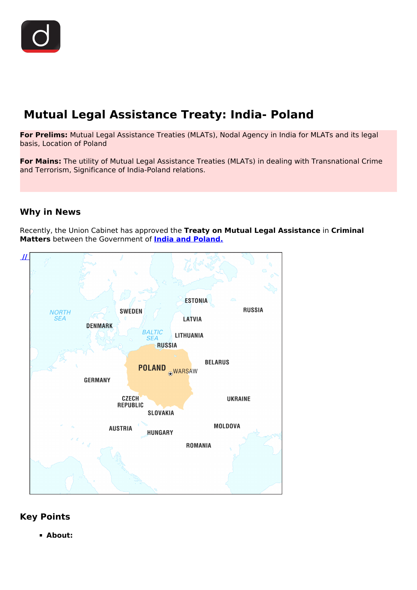# **Mutual Legal Assistance Treaty: India- Poland**

**For Prelims:** Mutual Legal Assistance Treaties (MLATs), Nodal Agency in India for MLATs and its legal basis, Location of Poland

**For Mains:** The utility of Mutual Legal Assistance Treaties (MLATs) in dealing with Transnational Crime and Terrorism, Significance of India-Poland relations.

## **Why in News**

Recently, the Union Cabinet has approved the **Treaty on Mutual Legal Assistance** in **Criminal Matters** between the Government of **[India and Poland.](/daily-updates/daily-news-analysis/india-poland-relations)**



#### **Key Points**

**About:**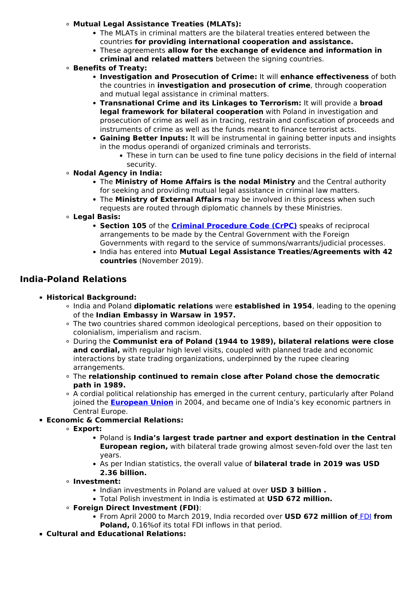- **Mutual Legal Assistance Treaties (MLATs):**
	- The MLATs in criminal matters are the bilateral treaties entered between the countries **for providing international cooperation and assistance.**
	- These agreements **allow for the exchange of evidence and information in criminal and related matters** between the signing countries.
- **Benefits of Treaty:**
	- **Investigation and Prosecution of Crime:** It will **enhance effectiveness** of both the countries in **investigation and prosecution of crime**, through cooperation and mutual legal assistance in criminal matters.
	- **Transnational Crime and its Linkages to Terrorism:** It will provide a **broad legal framework for bilateral cooperation** with Poland in investigation and prosecution of crime as well as in tracing, restrain and confiscation of proceeds and instruments of crime as well as the funds meant to finance terrorist acts.
	- **Gaining Better Inputs:** It will be instrumental in gaining better inputs and insights in the modus operandi of organized criminals and terrorists.
		- These in turn can be used to fine tune policy decisions in the field of internal security.
- **Nodal Agency in India:**
	- The **Ministry of Home Affairs is the nodal Ministry** and the Central authority for seeking and providing mutual legal assistance in criminal law matters.
	- The **Ministry of External Affairs** may be involved in this process when such requests are routed through diplomatic channels by these Ministries.
- **Legal Basis:**
	- **Section 105** of the **[Criminal Procedure Code \(CrPC\)](/daily-updates/daily-news-analysis/section-144-of-crpc-1#:~:text=Features%20of%20Section%20144%3A,institutions%20shall%20also%20remain%20closed.)** speaks of reciprocal arrangements to be made by the Central Government with the Foreign Governments with regard to the service of summons/warrants/judicial processes.
	- India has entered into **Mutual Legal Assistance Treaties/Agreements with 42 countries** (November 2019).

#### **India-Poland Relations**

- **Historical Background:**
	- India and Poland **diplomatic relations** were **established in 1954**, leading to the opening of the **Indian Embassy in Warsaw in 1957.**
	- The two countries shared common ideological perceptions, based on their opposition to colonialism, imperialism and racism.
	- During the **Communist era of Poland (1944 to 1989), bilateral relations were close and cordial,** with regular high level visits, coupled with planned trade and economic interactions by state trading organizations, underpinned by the rupee clearing arrangements.
	- The **relationship continued to remain close after Poland chose the democratic path in 1989.**
	- A cordial political relationship has emerged in the current century, particularly after Poland joined the **[European Union](/important-institutions/drishti-specials-important-institutions-international-institution/european-union)** in 2004, and became one of India's key economic partners in Central Europe.
- **Economic & Commercial Relations:**
	- **Export:**
		- Poland is **India's largest trade partner and export destination in the Central European region,** with bilateral trade growing almost seven-fold over the last ten years.
		- As per Indian statistics, the overall value of **bilateral trade in 2019 was USD 2.36 billion.**
	- **Investment:**
		- Indian investments in Poland are valued at over **USD 3 billion .**
		- Total Polish investment in India is estimated at **USD 672 million.**
	- **Foreign Direct Investment (FDI)**:
		- From April 2000 to March 2019, India recorded over **USD 672 million of** [FDI](/daily-updates/daily-news-analysis/fdi-inflow) **from Poland,** 0.16%of its total FDI inflows in that period.
- **Cultural and Educational Relations:**